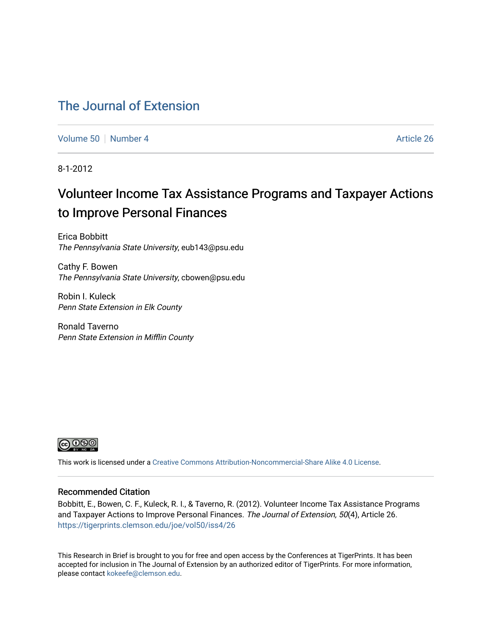## [The Journal of Extension](https://tigerprints.clemson.edu/joe)

[Volume 50](https://tigerprints.clemson.edu/joe/vol50) [Number 4](https://tigerprints.clemson.edu/joe/vol50/iss4) Article 26

8-1-2012

# Volunteer Income Tax Assistance Programs and Taxpayer Actions to Improve Personal Finances

Erica Bobbitt The Pennsylvania State University, eub143@psu.edu

Cathy F. Bowen The Pennsylvania State University, cbowen@psu.edu

Robin I. Kuleck Penn State Extension in Elk County

Ronald Taverno Penn State Extension in Mifflin County



This work is licensed under a [Creative Commons Attribution-Noncommercial-Share Alike 4.0 License.](https://creativecommons.org/licenses/by-nc-sa/4.0/)

#### Recommended Citation

Bobbitt, E., Bowen, C. F., Kuleck, R. I., & Taverno, R. (2012). Volunteer Income Tax Assistance Programs and Taxpayer Actions to Improve Personal Finances. The Journal of Extension, 50(4), Article 26. <https://tigerprints.clemson.edu/joe/vol50/iss4/26>

This Research in Brief is brought to you for free and open access by the Conferences at TigerPrints. It has been accepted for inclusion in The Journal of Extension by an authorized editor of TigerPrints. For more information, please contact [kokeefe@clemson.edu](mailto:kokeefe@clemson.edu).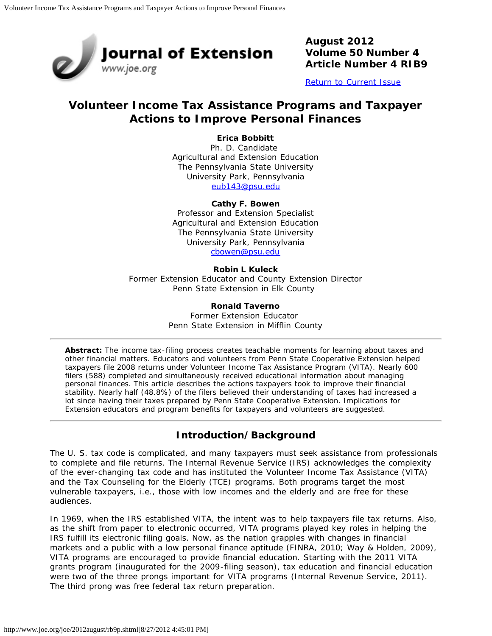

**August 2012 Volume 50 Number 4 Article Number 4 RIB9**

[Return to Current Issue](http://www.joe.org/joe/2012august/)

### **Volunteer Income Tax Assistance Programs and Taxpayer Actions to Improve Personal Finances**

#### **Erica Bobbitt**

Ph. D. Candidate Agricultural and Extension Education The Pennsylvania State University University Park, Pennsylvania [eub143@psu.edu](mailto:eub143@psu.edu)

### **Cathy F. Bowen**

Professor and Extension Specialist Agricultural and Extension Education The Pennsylvania State University University Park, Pennsylvania [cbowen@psu.edu](mailto:cbowen@psu.edu)

#### **Robin L Kuleck**

Former Extension Educator and County Extension Director Penn State Extension in Elk County

#### **Ronald Taverno**

Former Extension Educator Penn State Extension in Mifflin County

*Abstract: The income tax-filing process creates teachable moments for learning about taxes and other financial matters. Educators and volunteers from Penn State Cooperative Extension helped taxpayers file 2008 returns under Volunteer Income Tax Assistance Program (VITA). Nearly 600 filers (588) completed and simultaneously received educational information about managing personal finances. This article describes the actions taxpayers took to improve their financial stability. Nearly half (48.8%) of the filers believed their understanding of taxes had increased a lot since having their taxes prepared by Penn State Cooperative Extension. Implications for Extension educators and program benefits for taxpayers and volunteers are suggested.*

### **Introduction/Background**

The U. S. tax code is complicated, and many taxpayers must seek assistance from professionals to complete and file returns. The Internal Revenue Service (IRS) acknowledges the complexity of the ever-changing tax code and has instituted the Volunteer Income Tax Assistance (VITA) and the Tax Counseling for the Elderly (TCE) programs. Both programs target the most vulnerable taxpayers, i.e., those with low incomes and the elderly and are free for these audiences.

In 1969, when the IRS established VITA, the intent was to help taxpayers file tax returns. Also, as the shift from paper to electronic occurred, VITA programs played key roles in helping the IRS fulfill its electronic filing goals. Now, as the nation grapples with changes in financial markets and a public with a low personal finance aptitude (FINRA, 2010; Way & Holden, 2009), VITA programs are encouraged to provide financial education. Starting with the 2011 VITA grants program (inaugurated for the 2009-filing season), tax education and financial education were two of the three prongs important for VITA programs (Internal Revenue Service, 2011). The third prong was free federal tax return preparation.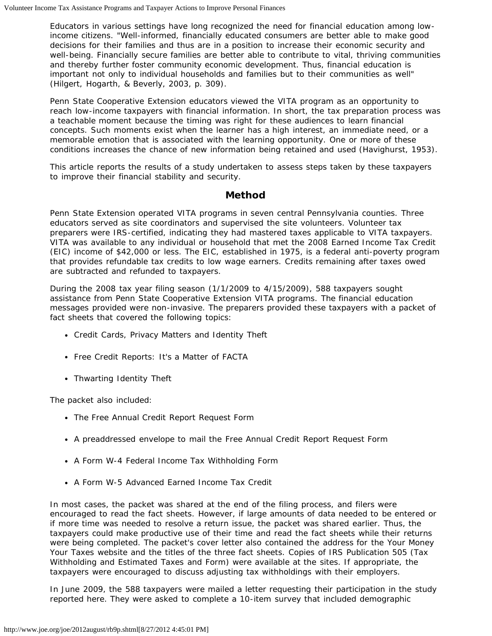Educators in various settings have long recognized the need for financial education among lowincome citizens. "Well-informed, financially educated consumers are better able to make good decisions for their families and thus are in a position to increase their economic security and well-being. Financially secure families are better able to contribute to vital, thriving communities and thereby further foster community economic development. Thus, financial education is important not only to individual households and families but to their communities as well" (Hilgert, Hogarth, & Beverly, 2003, p. 309).

Penn State Cooperative Extension educators viewed the VITA program as an opportunity to reach low-income taxpayers with financial information. In short, the tax preparation process was a teachable moment because the timing was right for these audiences to learn financial concepts. Such moments exist when the learner has a high interest, an immediate need, or a memorable emotion that is associated with the learning opportunity. One or more of these conditions increases the chance of new information being retained and used (Havighurst, 1953).

This article reports the results of a study undertaken to assess steps taken by these taxpayers to improve their financial stability and security.

### **Method**

Penn State Extension operated VITA programs in seven central Pennsylvania counties. Three educators served as site coordinators and supervised the site volunteers. Volunteer tax preparers were IRS-certified, indicating they had mastered taxes applicable to VITA taxpayers. VITA was available to any individual or household that met the 2008 Earned Income Tax Credit (EIC) income of \$42,000 or less. The EIC, established in 1975, is a federal anti-poverty program that provides refundable tax credits to low wage earners. Credits remaining after taxes owed are subtracted and refunded to taxpayers.

During the 2008 tax year filing season (1/1/2009 to 4/15/2009), 588 taxpayers sought assistance from Penn State Cooperative Extension VITA programs. The financial education messages provided were non-invasive. The preparers provided these taxpayers with a packet of fact sheets that covered the following topics:

- *Credit Cards, Privacy Matters and Identity Theft*
- *Free Credit Reports: It's a Matter of FACTA*
- *Thwarting Identity Theft*

The packet also included:

- The Free Annual Credit Report Request Form
- A preaddressed envelope to mail the Free Annual Credit Report Request Form
- A Form W-4 Federal Income Tax Withholding Form
- A Form W-5 Advanced Earned Income Tax Credit

In most cases, the packet was shared at the end of the filing process, and filers were encouraged to read the fact sheets. However, if large amounts of data needed to be entered or if more time was needed to resolve a return issue, the packet was shared earlier. Thus, the taxpayers could make productive use of their time and read the fact sheets while their returns were being completed. The packet's cover letter also contained the address for the Your Money Your Taxes website and the titles of the three fact sheets. Copies of IRS Publication 505 (*Tax Withholding and Estimated Taxes and Form*) were available at the sites. If appropriate, the taxpayers were encouraged to discuss adjusting tax withholdings with their employers.

In June 2009, the 588 taxpayers were mailed a letter requesting their participation in the study reported here. They were asked to complete a 10-item survey that included demographic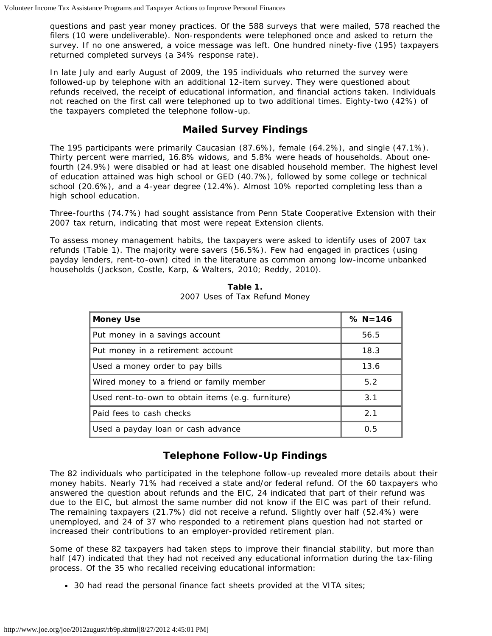questions and past year money practices. Of the 588 surveys that were mailed, 578 reached the filers (10 were undeliverable). Non-respondents were telephoned once and asked to return the survey. If no one answered, a voice message was left. One hundred ninety-five (195) taxpayers returned completed surveys (a 34% response rate).

In late July and early August of 2009, the 195 individuals who returned the survey were followed-up by telephone with an additional 12-item survey. They were questioned about refunds received, the receipt of educational information, and financial actions taken. Individuals not reached on the first call were telephoned up to two additional times. Eighty-two (42%) of the taxpayers completed the telephone follow-up.

### **Mailed Survey Findings**

The 195 participants were primarily Caucasian (87.6%), female (64.2%), and single (47.1%). Thirty percent were married, 16.8% widows, and 5.8% were heads of households. About onefourth (24.9%) were disabled or had at least one disabled household member. The highest level of education attained was high school or GED (40.7%), followed by some college or technical school (20.6%), and a 4-year degree (12.4%). Almost 10% reported completing less than a high school education.

Three-fourths (74.7%) had sought assistance from Penn State Cooperative Extension with their 2007 tax return, indicating that most were repeat Extension clients.

To assess money management habits, the taxpayers were asked to identify uses of 2007 tax refunds (Table 1). The majority were savers (56.5%). Few had engaged in practices (using payday lenders, rent-to-own) cited in the literature as common among low-income unbanked households (Jackson, Costle, Karp, & Walters, 2010; Reddy, 2010).

| <b>Money Use</b>                                  | % $N = 146$ |
|---------------------------------------------------|-------------|
| Put money in a savings account                    | 56.5        |
| Put money in a retirement account                 | 18.3        |
| Used a money order to pay bills                   | 13.6        |
| Wired money to a friend or family member          | 5.2         |
| Used rent-to-own to obtain items (e.g. furniture) | 3.1         |
| Paid fees to cash checks                          | 2.1         |
| Used a payday loan or cash advance                | 0.5         |

**Table 1.** 2007 Uses of Tax Refund Money

### **Telephone Follow-Up Findings**

The 82 individuals who participated in the telephone follow-up revealed more details about their money habits. Nearly 71% had received a state and/or federal refund. Of the 60 taxpayers who answered the question about refunds and the EIC, 24 indicated that part of their refund was due to the EIC, but almost the same number did not know if the EIC was part of their refund. The remaining taxpayers (21.7%) did not receive a refund. Slightly over half (52.4%) were unemployed, and 24 of 37 who responded to a retirement plans question had not started or increased their contributions to an employer-provided retirement plan.

Some of these 82 taxpayers had taken steps to improve their financial stability, but more than half (47) indicated that they had not received any educational information during the tax-filing process. Of the 35 who recalled receiving educational information:

30 had read the personal finance fact sheets provided at the VITA sites;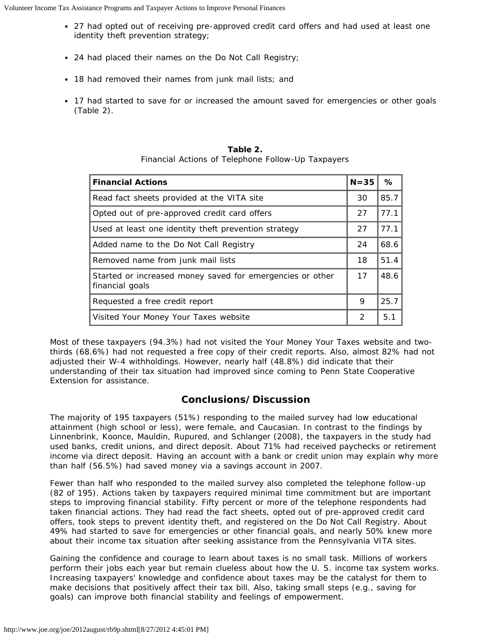- 27 had opted out of receiving pre-approved credit card offers and had used at least one identity theft prevention strategy;
- 24 had placed their names on the Do Not Call Registry;
- 18 had removed their names from junk mail lists; and
- 17 had started to save for or increased the amount saved for emergencies or other goals (Table 2).

#### **Table 2.**

Financial Actions of Telephone Follow-Up Taxpayers

| <b>Financial Actions</b>                                                     | $N = 35$      | $\%$ |
|------------------------------------------------------------------------------|---------------|------|
| Read fact sheets provided at the VITA site                                   | 30            | 85.7 |
| Opted out of pre-approved credit card offers                                 | 27            | 77.1 |
| Used at least one identity theft prevention strategy                         | 27            | 77.1 |
| Added name to the Do Not Call Registry                                       | 24            | 68.6 |
| Removed name from junk mail lists                                            | 18            | 51.4 |
| Started or increased money saved for emergencies or other<br>financial goals | 17            | 48.6 |
| Requested a free credit report                                               | 9             | 25.7 |
| Visited Your Money Your Taxes website                                        | $\mathcal{P}$ | 5.1  |

Most of these taxpayers (94.3%) had not visited the *Your Money Your Taxes* website and twothirds (68.6%) had not requested a free copy of their credit reports. Also, almost 82% had not adjusted their W-4 withholdings. However, nearly half (48.8%) did indicate that their understanding of their tax situation had improved since coming to Penn State Cooperative Extension for assistance.

### **Conclusions/Discussion**

The majority of 195 taxpayers (51%) responding to the mailed survey had low educational attainment (high school or less), were female, and Caucasian. In contrast to the findings by Linnenbrink, Koonce, Mauldin, Rupured, and Schlanger (2008), the taxpayers in the study had used banks, credit unions, and direct deposit. About 71% had received paychecks or retirement income via direct deposit. Having an account with a bank or credit union may explain why more than half (56.5%) had saved money via a savings account in 2007.

Fewer than half who responded to the mailed survey also completed the telephone follow-up (82 of 195). Actions taken by taxpayers required minimal time commitment but are important steps to improving financial stability. Fifty percent or more of the telephone respondents had taken financial actions. They had read the fact sheets, opted out of pre-approved credit card offers, took steps to prevent identity theft, and registered on the Do Not Call Registry. About 49% had started to save for emergencies or other financial goals, and nearly 50% knew more about their income tax situation after seeking assistance from the Pennsylvania VITA sites.

Gaining the confidence and courage to learn about taxes is no small task. Millions of workers perform their jobs each year but remain clueless about how the U. S. income tax system works. Increasing taxpayers' knowledge and confidence about taxes may be the catalyst for them to make decisions that positively affect their tax bill. Also, taking small steps (e.g., saving for goals) can improve both financial stability and feelings of empowerment.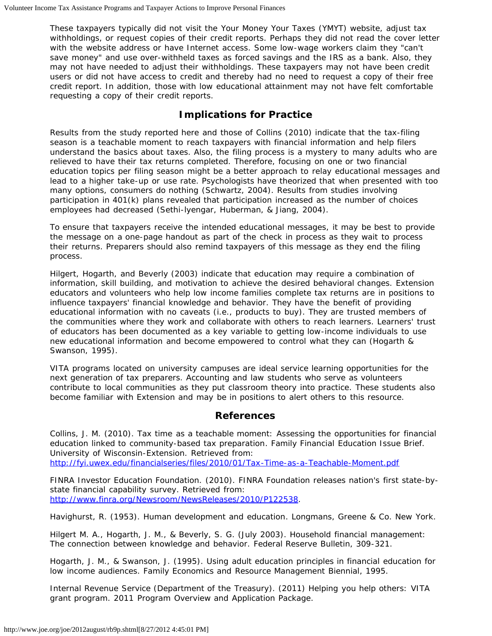These taxpayers typically did not visit the Your Money Your Taxes (YMYT) website, adjust tax withholdings, or request copies of their credit reports. Perhaps they did not read the cover letter with the website address or have Internet access. Some low-wage workers claim they "can't save money" and use over-withheld taxes as forced savings and the IRS as a bank. Also, they may not have needed to adjust their withholdings. These taxpayers may not have been credit users or did not have access to credit and thereby had no need to request a copy of their free credit report. In addition, those with low educational attainment may not have felt comfortable requesting a copy of their credit reports.

### **Implications for Practice**

Results from the study reported here and those of Collins (2010) indicate that the tax-filing season is a teachable moment to reach taxpayers with financial information and help filers understand the basics about taxes. Also, the filing process is a mystery to many adults who are relieved to have their tax returns completed. Therefore, focusing on one or two financial education topics per filing season might be a better approach to relay educational messages and lead to a higher take-up or use rate. Psychologists have theorized that when presented with too many options, consumers do nothing (Schwartz, 2004). Results from studies involving participation in 401(k) plans revealed that participation increased as the number of choices employees had decreased (Sethi-lyengar, Huberman, & Jiang, 2004).

To ensure that taxpayers receive the intended educational messages, it may be best to provide the message on a one-page handout as part of the check in process as they wait to process their returns. Preparers should also remind taxpayers of this message as they end the filing process.

Hilgert, Hogarth, and Beverly (2003) indicate that education may require a combination of information, skill building, and motivation to achieve the desired behavioral changes. Extension educators and volunteers who help low income families complete tax returns are in positions to influence taxpayers' financial knowledge and behavior. They have the benefit of providing educational information with no caveats (i.e., products to buy). They are trusted members of the communities where they work and collaborate with others to reach learners. Learners' trust of educators has been documented as a key variable to getting low-income individuals to use new educational information and become empowered to control what they can (Hogarth & Swanson, 1995).

VITA programs located on university campuses are ideal service learning opportunities for the next generation of tax preparers. Accounting and law students who serve as volunteers contribute to local communities as they put classroom theory into practice. These students also become familiar with Extension and may be in positions to alert others to this resource.

### **References**

Collins, J. M. (2010). *Tax time as a teachable moment: Assessing the opportunities for financial education linked to community-based tax preparation*. Family Financial Education Issue Brief. University of Wisconsin-Extension. Retrieved from: <http://fyi.uwex.edu/financialseries/files/2010/01/Tax-Time-as-a-Teachable-Moment.pdf>

FINRA Investor Education Foundation. (2010). *FINRA Foundation releases nation's first state-bystate financial capability survey*. Retrieved from: <http://www.finra.org/Newsroom/NewsReleases/2010/P122538>.

Havighurst, R. (1953). *Human development and education*. Longmans, Greene & Co. New York.

Hilgert M. A., Hogarth, J. M., & Beverly, S. G. (July 2003). Household financial management: The connection between knowledge and behavior. *Federal Reserve Bulletin*, 309-321.

Hogarth, J. M., & Swanson, J. (1995). Using adult education principles in financial education for low income audiences. *Family Economics and Resource Management Biennial*, 1995.

Internal Revenue Service (Department of the Treasury). (2011) *Helping you help others: VITA grant program. 2011 Program Overview and Application Package*.